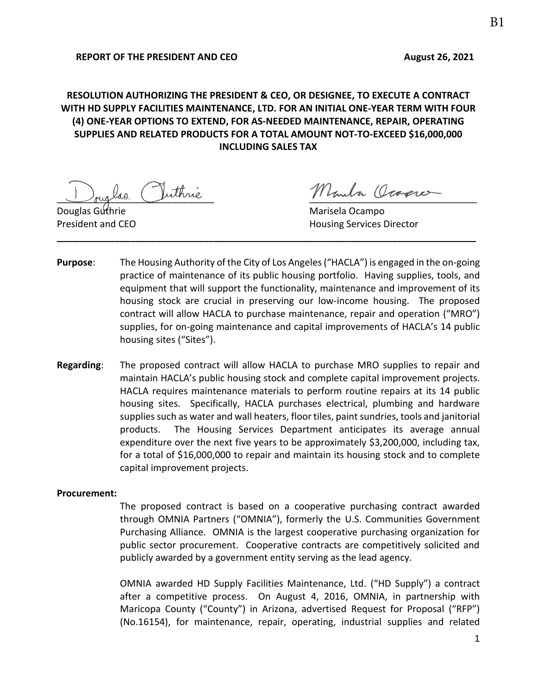# **RESOLUTION AUTHORIZING THE PRESIDENT & CEO, OR DESIGNEE, TO EXECUTE A CONTRACT WITH HD SUPPLY FACILITIES MAINTENANCE, LTD. FOR AN INITIAL ONE-YEAR TERM WITH FOUR (4) ONE-YEAR OPTIONS TO EXTEND, FOR AS-NEEDED MAINTENANCE, REPAIR, OPERATING SUPPLIES AND RELATED PRODUCTS FOR A TOTAL AMOUNT NOT-TO-EXCEED \$16,000,000 INCLUDING SALES TAX**

las Vuthrie Monda Ocamere

Douglas Guthrie Marisela Ocampo **President and CEO Housing Services Director** 

**Purpose**: The Housing Authority of the City of Los Angeles ("HACLA") is engaged in the on-going practice of maintenance of its public housing portfolio. Having supplies, tools, and equipment that will support the functionality, maintenance and improvement of its housing stock are crucial in preserving our low-income housing. The proposed contract will allow HACLA to purchase maintenance, repair and operation ("MRO") supplies, for on-going maintenance and capital improvements of HACLA's 14 public housing sites ("Sites").

**\_\_\_\_\_\_\_\_\_\_\_\_\_\_\_\_\_\_\_\_\_\_\_\_\_\_\_\_\_\_\_\_\_\_\_\_\_\_\_\_\_\_\_\_\_\_\_\_\_\_\_\_\_\_\_\_\_\_\_\_\_\_\_\_\_\_\_\_\_\_\_\_\_\_\_\_\_\_\_\_** 

**Regarding**: The proposed contract will allow HACLA to purchase MRO supplies to repair and maintain HACLA's public housing stock and complete capital improvement projects. HACLA requires maintenance materials to perform routine repairs at its 14 public housing sites. Specifically, HACLA purchases electrical, plumbing and hardware supplies such as water and wall heaters, floor tiles, paint sundries, tools and janitorial products. The Housing Services Department anticipates its average annual expenditure over the next five years to be approximately \$3,200,000, including tax, for a total of \$16,000,000 to repair and maintain its housing stock and to complete capital improvement projects.

#### **Procurement:**

The proposed contract is based on a cooperative purchasing contract awarded through OMNIA Partners ("OMNIA"), formerly the U.S. Communities Government Purchasing Alliance. OMNIA is the largest cooperative purchasing organization for public sector procurement. Cooperative contracts are competitively solicited and publicly awarded by a government entity serving as the lead agency.

OMNIA awarded HD Supply Facilities Maintenance, Ltd. ("HD Supply") a contract after a competitive process. On August 4, 2016, OMNIA, in partnership with Maricopa County ("County") in Arizona, advertised Request for Proposal ("RFP") (No.16154), for maintenance, repair, operating, industrial supplies and related

1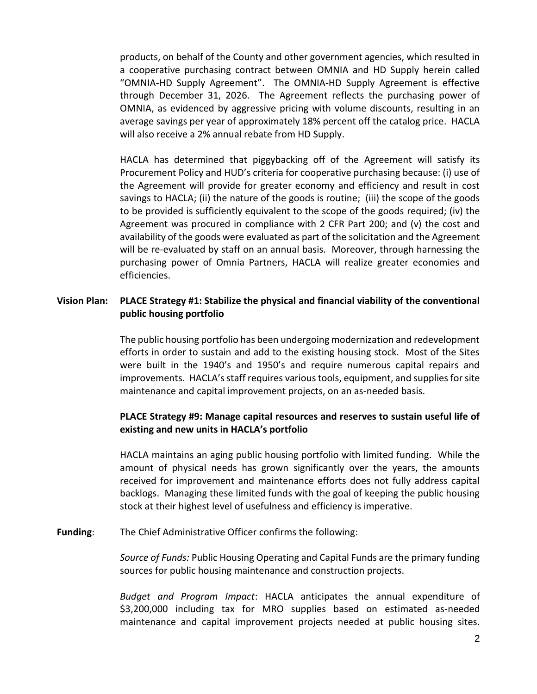products, on behalf of the County and other government agencies, which resulted in a cooperative purchasing contract between OMNIA and HD Supply herein called "OMNIA-HD Supply Agreement". The OMNIA-HD Supply Agreement is effective through December 31, 2026. The Agreement reflects the purchasing power of OMNIA, as evidenced by aggressive pricing with volume discounts, resulting in an average savings per year of approximately 18% percent off the catalog price. HACLA will also receive a 2% annual rebate from HD Supply.

HACLA has determined that piggybacking off of the Agreement will satisfy its Procurement Policy and HUD's criteria for cooperative purchasing because: (i) use of the Agreement will provide for greater economy and efficiency and result in cost savings to HACLA; (ii) the nature of the goods is routine; (iii) the scope of the goods to be provided is sufficiently equivalent to the scope of the goods required; (iv) the Agreement was procured in compliance with 2 CFR Part 200; and (v) the cost and availability of the goods were evaluated as part of the solicitation and the Agreement will be re-evaluated by staff on an annual basis. Moreover, through harnessing the purchasing power of Omnia Partners, HACLA will realize greater economies and efficiencies.

## **Vision Plan: PLACE Strategy #1: Stabilize the physical and financial viability of the conventional public housing portfolio**

The public housing portfolio has been undergoing modernization and redevelopment efforts in order to sustain and add to the existing housing stock. Most of the Sites were built in the 1940's and 1950's and require numerous capital repairs and improvements. HACLA's staff requires varioustools, equipment, and supplies for site maintenance and capital improvement projects, on an as-needed basis.

## **PLACE Strategy #9: Manage capital resources and reserves to sustain useful life of existing and new units in HACLA's portfolio**

HACLA maintains an aging public housing portfolio with limited funding. While the amount of physical needs has grown significantly over the years, the amounts received for improvement and maintenance efforts does not fully address capital backlogs. Managing these limited funds with the goal of keeping the public housing stock at their highest level of usefulness and efficiency is imperative.

#### **Funding**: The Chief Administrative Officer confirms the following:

*Source of Funds:* Public Housing Operating and Capital Funds are the primary funding sources for public housing maintenance and construction projects.

*Budget and Program Impact*: HACLA anticipates the annual expenditure of \$3,200,000 including tax for MRO supplies based on estimated as-needed maintenance and capital improvement projects needed at public housing sites.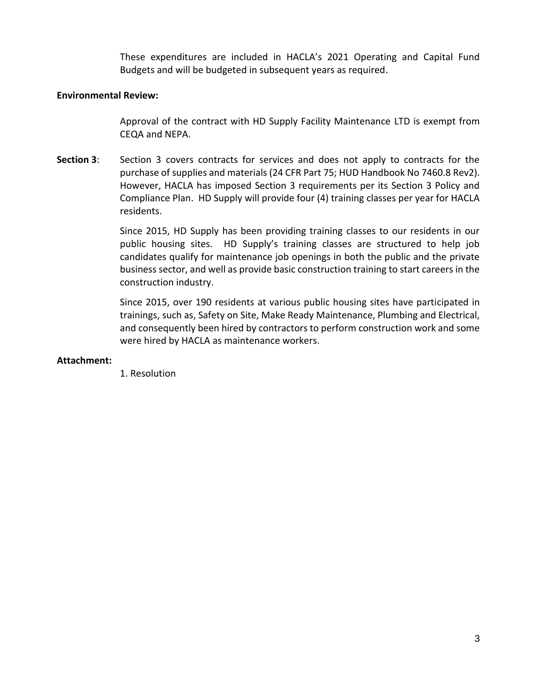These expenditures are included in HACLA's 2021 Operating and Capital Fund Budgets and will be budgeted in subsequent years as required.

### **Environmental Review:**

Approval of the contract with HD Supply Facility Maintenance LTD is exempt from CEQA and NEPA.

**Section 3:** Section 3 covers contracts for services and does not apply to contracts for the purchase of supplies and materials (24 CFR Part 75; HUD Handbook No 7460.8 Rev2). However, HACLA has imposed Section 3 requirements per its Section 3 Policy and Compliance Plan. HD Supply will provide four (4) training classes per year for HACLA residents.

> Since 2015, HD Supply has been providing training classes to our residents in our public housing sites. HD Supply's training classes are structured to help job candidates qualify for maintenance job openings in both the public and the private business sector, and well as provide basic construction training to start careers in the construction industry.

> Since 2015, over 190 residents at various public housing sites have participated in trainings, such as, Safety on Site, Make Ready Maintenance, Plumbing and Electrical, and consequently been hired by contractors to perform construction work and some were hired by HACLA as maintenance workers.

#### **Attachment:**

1. Resolution